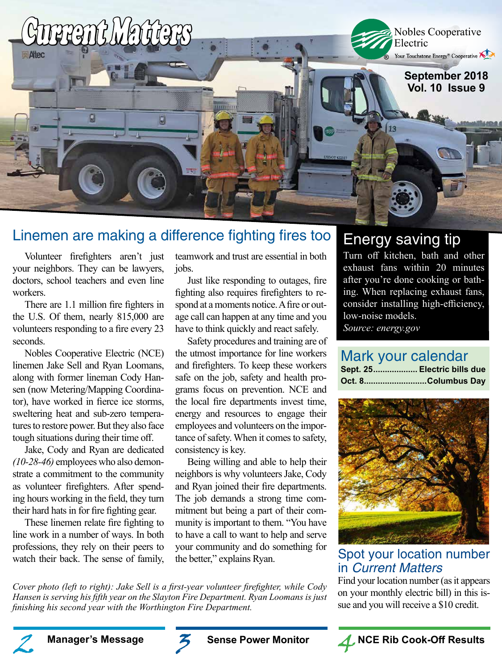

### Linemen are making a difference fighting fires too

Volunteer firefighters aren't just your neighbors. They can be lawyers, doctors, school teachers and even line workers.

There are 1.1 million fire fighters in the U.S. Of them, nearly 815,000 are volunteers responding to a fire every 23 seconds.

Nobles Cooperative Electric (NCE) linemen Jake Sell and Ryan Loomans, along with former lineman Cody Hansen (now Metering/Mapping Coordinator), have worked in fierce ice storms, sweltering heat and sub-zero temperatures to restore power. But they also face tough situations during their time off.

Jake, Cody and Ryan are dedicated *(10-28-46)* employees who also demonstrate a commitment to the community as volunteer firefighters. After spending hours working in the field, they turn their hard hats in for fire fighting gear.

These linemen relate fire fighting to line work in a number of ways. In both professions, they rely on their peers to watch their back. The sense of family,

teamwork and trust are essential in both jobs.

Just like responding to outages, fire fighting also requires firefighters to respond at a moments notice. A fire or outage call can happen at any time and you have to think quickly and react safely.

Safety procedures and training are of the utmost importance for line workers and firefighters. To keep these workers safe on the job, safety and health programs focus on prevention. NCE and the local fire departments invest time, energy and resources to engage their employees and volunteers on the importance of safety. When it comes to safety, consistency is key.

Being willing and able to help their neighbors is why volunteers Jake, Cody and Ryan joined their fire departments. The job demands a strong time commitment but being a part of their community is important to them. "You have to have a call to want to help and serve your community and do something for the better," explains Ryan.

*Cover photo (left to right): Jake Sell is a first-year volunteer firefighter, while Cody Hansen is serving his fifth year on the Slayton Fire Department. Ryan Loomans is just finishing his second year with the Worthington Fire Department.*

### Energy saving tip

Turn off kitchen, bath and other exhaust fans within 20 minutes after you're done cooking or bathing. When replacing exhaust fans, consider installing high-efficiency, low-noise models. *Source: energy.gov*

### Mark your calendar

| Sept. 25 Electric bills due |  |
|-----------------------------|--|
| Oct. 8Columbus Day          |  |



### Spot your location number in Current Matters

Find your location number (as it appears on your monthly electric bill) in this issue and you will receive a \$10 credit.







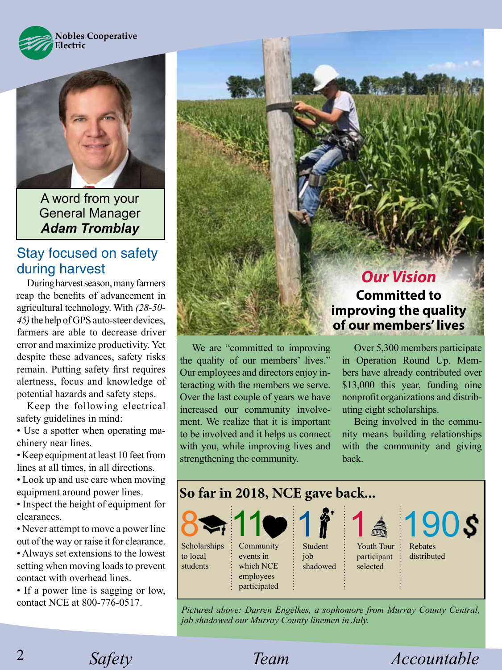



A word from your General Manager *Adam Tromblay*

### Stay focused on safety during harvest

During harvest season, many farmers reap the benefits of advancement in agricultural technology. With *(28-50- 45)* the help of GPS auto-steer devices, farmers are able to decrease driver error and maximize productivity. Yet despite these advances, safety risks remain. Putting safety first requires alertness, focus and knowledge of potential hazards and safety steps.

Keep the following electrical safety guidelines in mind:

• Use a spotter when operating machinery near lines.

• Keep equipment at least 10 feet from lines at all times, in all directions.

• Look up and use care when moving equipment around power lines.

• Inspect the height of equipment for clearances.

• Never attempt to move a power line out of the way or raise it for clearance.

• Always set extensions to the lowest setting when moving loads to prevent contact with overhead lines.

• If a power line is sagging or low, contact NCE at 800-776-0517.

We are "committed to improving the quality of our members' lives." Our employees and directors enjoy interacting with the members we serve. Over the last couple of years we have increased our community involvement. We realize that it is important

*Our Vision* **Committed to improving the quality of our members' lives**

Over 5,300 members participate in Operation Round Up. Members have already contributed over \$13,000 this year, funding nine nonprofit organizations and distributing eight scholarships.

Being involved in the community means building relationships with the community and giving back.



*Pictured above: Darren Engelkes, a sophomore from Murray County Central, job shadowed our Murray County linemen in July.* 

2

*Safety Team Accountable* 

to be involved and it helps us connect with you, while improving lives and

strengthening the community.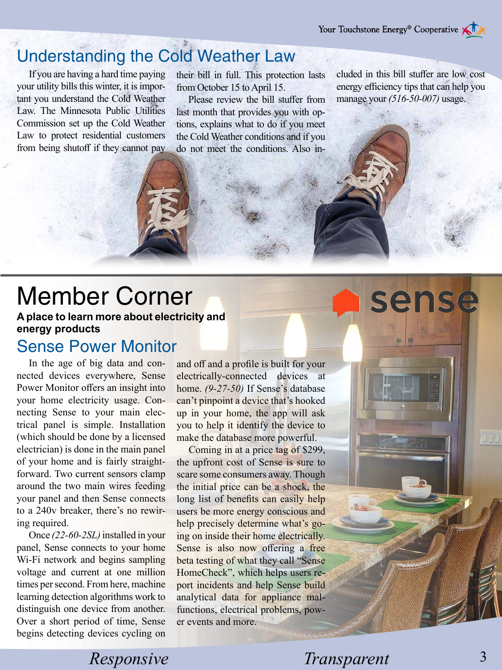# Understanding the Cold Weather Law

If you are having a hard time paying your utility bills this winter, it is important you understand the Cold Weather Law. The Minnesota Public Utilities Commission set up the Cold Weather Law to protect residential customers from being shutoff if they cannot pay their bill in full. This protection lasts from October 15 to April 15.

Please review the bill stuffer from last month that provides you with options, explains what to do if you meet the Cold Weather conditions and if you do not meet the conditions. Also included in this bill stuffer are low cost energy efficiency tips that can help you manage your *(516-50-007)* usage.

sense

# Member Corner

**A place to learn more about electricity and energy products**

Sense Power Monitor

In the age of big data and connected devices everywhere, Sense Power Monitor offers an insight into your home electricity usage. Connecting Sense to your main electrical panel is simple. Installation (which should be done by a licensed electrician) is done in the main panel of your home and is fairly straightforward. Two current sensors clamp around the two main wires feeding your panel and then Sense connects to a 240v breaker, there's no rewiring required.

Once *(22-60-2SL)* installed in your panel, Sense connects to your home Wi-Fi network and begins sampling voltage and current at one million times per second. From here, machine learning detection algorithms work to distinguish one device from another. Over a short period of time, Sense begins detecting devices cycling on

and off and a profile is built for your electrically-connected devices at home. *(9-27-50)* If Sense's database can't pinpoint a device that's hooked up in your home, the app will ask you to help it identify the device to make the database more powerful.

Coming in at a price tag of \$299, the upfront cost of Sense is sure to scare some consumers away. Though the initial price can be a shock, the long list of benefits can easily help users be more energy conscious and help precisely determine what's going on inside their home electrically. Sense is also now offering a free beta testing of what they call "Sense HomeCheck", which helps users report incidents and help Sense build analytical data for appliance malfunctions, electrical problems, power events and more.